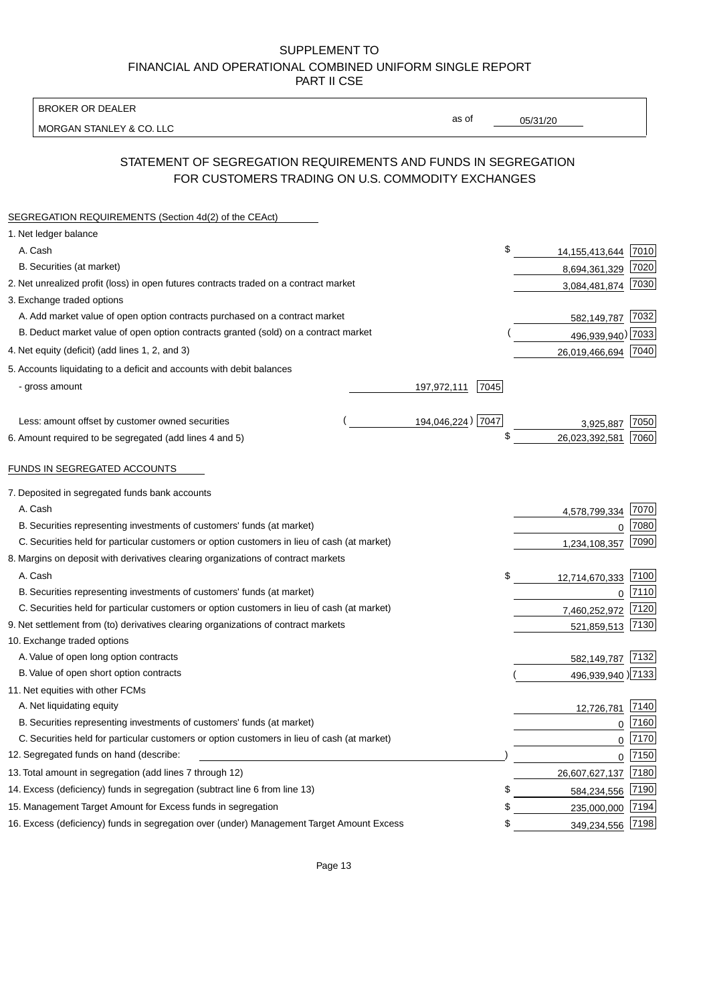BROKER OR DEALER

MORGAN STANLEY & CO. LLC

05/31/20

as of

# STATEMENT OF SEGREGATION REQUIREMENTS AND FUNDS IN SEGREGATION FOR CUSTOMERS TRADING ON U.S. COMMODITY EXCHANGES

| SEGREGATION REQUIREMENTS (Section 4d(2) of the CEAct)                                       |                            |                   |      |
|---------------------------------------------------------------------------------------------|----------------------------|-------------------|------|
| 1. Net ledger balance                                                                       |                            |                   |      |
| A. Cash                                                                                     | \$                         | 14, 155, 413, 644 | 7010 |
| B. Securities (at market)                                                                   |                            | 8,694,361,329     | 7020 |
| 2. Net unrealized profit (loss) in open futures contracts traded on a contract market       |                            | 3,084,481,874     | 7030 |
| 3. Exchange traded options                                                                  |                            |                   |      |
| A. Add market value of open option contracts purchased on a contract market                 |                            | 582,149,787 7032  |      |
| B. Deduct market value of open option contracts granted (sold) on a contract market         |                            | 496,939,940) 7033 |      |
| 4. Net equity (deficit) (add lines 1, 2, and 3)                                             |                            | 26,019,466,694    | 7040 |
| 5. Accounts liquidating to a deficit and accounts with debit balances                       |                            |                   |      |
| - gross amount                                                                              | <u>197,972,111</u><br>7045 |                   |      |
|                                                                                             |                            |                   |      |
| Less: amount offset by customer owned securities                                            | 194,046,224) 7047          | 3,925,887         | 7050 |
| 6. Amount required to be segregated (add lines 4 and 5)                                     | \$                         | 26,023,392,581    | 7060 |
| FUNDS IN SEGREGATED ACCOUNTS                                                                |                            |                   |      |
| 7. Deposited in segregated funds bank accounts                                              |                            |                   |      |
| A. Cash                                                                                     |                            | 4,578,799,334     | 7070 |
| B. Securities representing investments of customers' funds (at market)                      |                            | $\Omega$          | 7080 |
| C. Securities held for particular customers or option customers in lieu of cash (at market) |                            | 1,234,108,357     | 7090 |
| 8. Margins on deposit with derivatives clearing organizations of contract markets           |                            |                   |      |
| A. Cash                                                                                     | \$                         | 12,714,670,333    | 7100 |
| B. Securities representing investments of customers' funds (at market)                      |                            | $\mathbf 0$       | 7110 |
| C. Securities held for particular customers or option customers in lieu of cash (at market) |                            | 7,460,252,972     | 7120 |
| 9. Net settlement from (to) derivatives clearing organizations of contract markets          |                            | 521,859,513 7130  |      |
| 10. Exchange traded options                                                                 |                            |                   |      |
| A. Value of open long option contracts                                                      |                            | 582,149,787       | 7132 |
| B. Value of open short option contracts                                                     |                            | 496,939,940 )7133 |      |
| 11. Net equities with other FCMs                                                            |                            |                   |      |
| A. Net liquidating equity                                                                   |                            | 12,726,781        | 7140 |
| B. Securities representing investments of customers' funds (at market)                      |                            | $\Omega$          | 7160 |
| C. Securities held for particular customers or option customers in lieu of cash (at market) |                            | $\mathbf 0$       | 7170 |
| 12. Segregated funds on hand (describe:                                                     |                            | $\mathbf 0$       | 7150 |
| 13. Total amount in segregation (add lines 7 through 12)                                    |                            | 26,607,627,137    | 7180 |
| 14. Excess (deficiency) funds in segregation (subtract line 6 from line 13)                 | \$                         | 584,234,556       | 7190 |
| 15. Management Target Amount for Excess funds in segregation                                | \$                         | 235,000,000       | 7194 |
| 16. Excess (deficiency) funds in segregation over (under) Management Target Amount Excess   | \$                         | 349,234,556       | 7198 |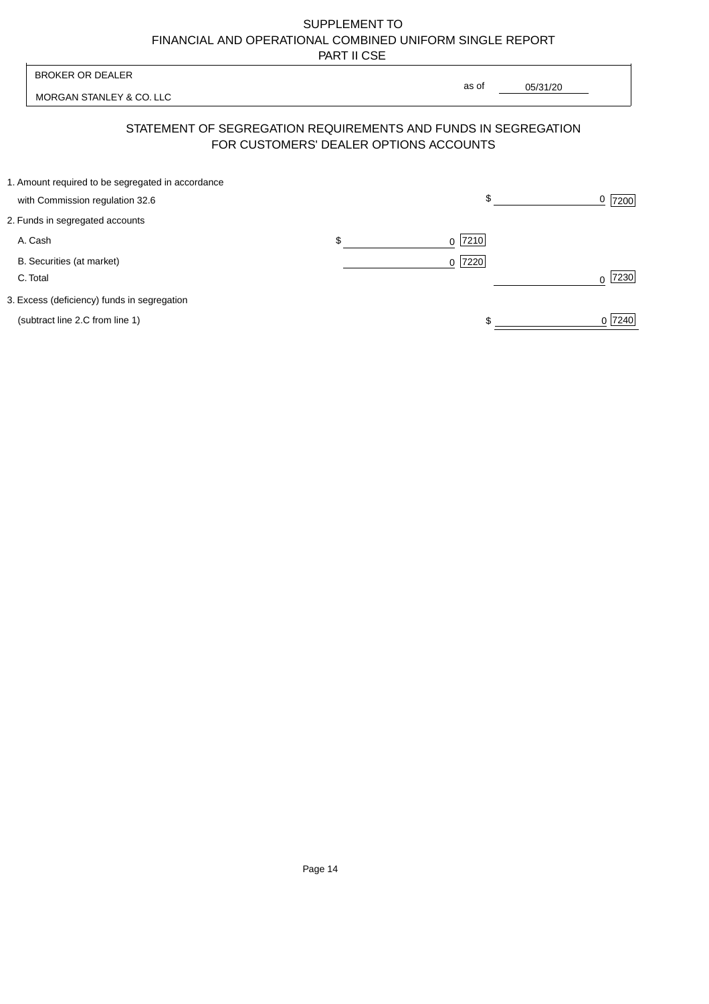| <b>BROKER OR DEALER</b>                                                              |                                        | as of                                                          |                  |
|--------------------------------------------------------------------------------------|----------------------------------------|----------------------------------------------------------------|------------------|
| MORGAN STANLEY & CO. LLC                                                             |                                        | 05/31/20                                                       |                  |
|                                                                                      | FOR CUSTOMERS' DEALER OPTIONS ACCOUNTS | STATEMENT OF SEGREGATION REQUIREMENTS AND FUNDS IN SEGREGATION |                  |
| 1. Amount required to be segregated in accordance<br>with Commission regulation 32.6 |                                        | \$                                                             | 0<br>7200        |
| 2. Funds in segregated accounts                                                      |                                        |                                                                |                  |
| A. Cash                                                                              | \$                                     | 7210<br><sup>0</sup>                                           |                  |
| B. Securities (at market)<br>C. Total                                                |                                        | 0 7220                                                         | 7230<br>$\Omega$ |
| 3. Excess (deficiency) funds in segregation                                          |                                        |                                                                |                  |
| (subtract line 2.C from line 1)                                                      |                                        |                                                                | 0 7240           |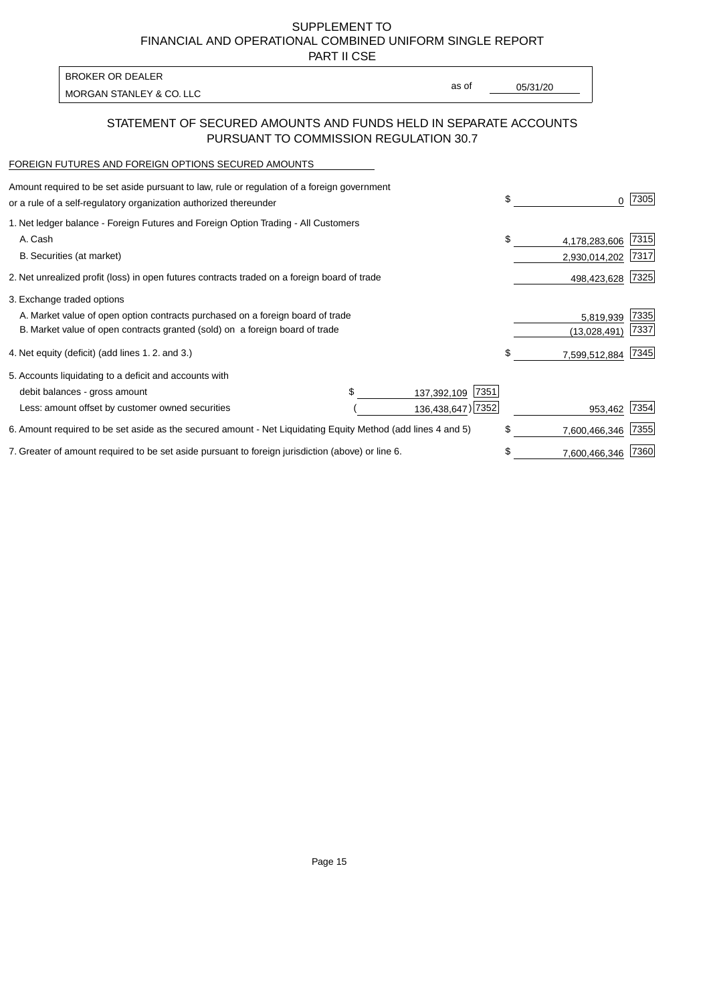PART II CSE

| BROKER OR DEALER         |       |          |
|--------------------------|-------|----------|
| MORGAN STANLEY & CO. LLC | as of | 05/31/20 |
|                          |       |          |

## STATEMENT OF SECURED AMOUNTS AND FUNDS HELD IN SEPARATE ACCOUNTS PURSUANT TO COMMISSION REGULATION 30.7

#### FOREIGN FUTURES AND FOREIGN OPTIONS SECURED AMOUNTS

| Amount required to be set aside pursuant to law, rule or regulation of a foreign government<br>or a rule of a self-regulatory organization authorized thereunder |                     | \$<br>0             | 7305 |
|------------------------------------------------------------------------------------------------------------------------------------------------------------------|---------------------|---------------------|------|
| 1. Net ledger balance - Foreign Futures and Foreign Option Trading - All Customers                                                                               |                     |                     |      |
| A. Cash                                                                                                                                                          |                     | \$<br>4,178,283,606 | 7315 |
| B. Securities (at market)                                                                                                                                        |                     | 2,930,014,202       | 7317 |
| 2. Net unrealized profit (loss) in open futures contracts traded on a foreign board of trade                                                                     |                     | 498,423,628         | 7325 |
| 3. Exchange traded options                                                                                                                                       |                     |                     |      |
| A. Market value of open option contracts purchased on a foreign board of trade                                                                                   |                     | 5,819,939           | 7335 |
| B. Market value of open contracts granted (sold) on a foreign board of trade                                                                                     |                     | (13.028.491)        | 7337 |
| 4. Net equity (deficit) (add lines 1.2. and 3.)                                                                                                                  |                     | \$<br>7,599,512,884 | 7345 |
| 5. Accounts liquidating to a deficit and accounts with                                                                                                           |                     |                     |      |
| debit balances - gross amount                                                                                                                                    | 7351<br>137,392,109 |                     |      |
| Less: amount offset by customer owned securities                                                                                                                 | 136,438,647) 7352   | 953,462             | 7354 |
| 6. Amount required to be set aside as the secured amount - Net Liquidating Equity Method (add lines 4 and 5)                                                     |                     | \$<br>7,600,466,346 | 7355 |
| 7. Greater of amount required to be set aside pursuant to foreign jurisdiction (above) or line 6.                                                                |                     | \$<br>7,600,466,346 | 7360 |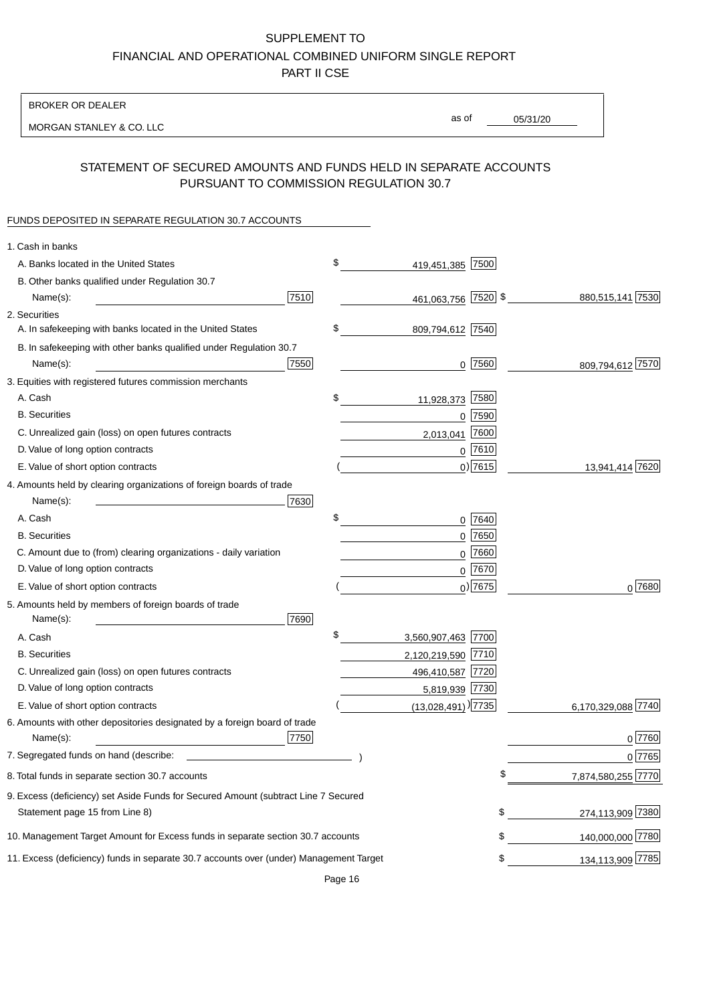BROKER OR DEALER

MORGAN STANLEY & CO. LLC

05/31/20 as of

## STATEMENT OF SECURED AMOUNTS AND FUNDS HELD IN SEPARATE ACCOUNTS PURSUANT TO COMMISSION REGULATION 30.7

### FUNDS DEPOSITED IN SEPARATE REGULATION 30.7 ACCOUNTS

| 1. Cash in banks                                                                       |                                |                        |
|----------------------------------------------------------------------------------------|--------------------------------|------------------------|
| A. Banks located in the United States                                                  | \$<br>419,451,385 7500         |                        |
| B. Other banks qualified under Regulation 30.7                                         |                                |                        |
| 7510<br>Name(s):                                                                       | 461,063,756 7520 \$            | 880,515,141 7530       |
| 2. Securities                                                                          |                                |                        |
| A. In safekeeping with banks located in the United States                              | \$<br>809,794,612 7540         |                        |
| B. In safekeeping with other banks qualified under Regulation 30.7                     |                                |                        |
| 7550<br>Name(s):                                                                       | $0$  7560                      | 809,794,612 7570       |
| 3. Equities with registered futures commission merchants                               |                                |                        |
| A. Cash                                                                                | \$<br>7580<br>11,928,373       |                        |
| <b>B.</b> Securities                                                                   | $0$ 7590                       |                        |
| C. Unrealized gain (loss) on open futures contracts                                    | 7600<br>2,013,041              |                        |
| D. Value of long option contracts                                                      | $0$ 7610                       |                        |
| E. Value of short option contracts                                                     | $0$ ) 7615                     | 13,941,414 7620        |
| 4. Amounts held by clearing organizations of foreign boards of trade                   |                                |                        |
| Name(s):<br>7630                                                                       |                                |                        |
| A. Cash                                                                                | \$<br>0 7640                   |                        |
| <b>B.</b> Securities                                                                   | $0$ 7650                       |                        |
| C. Amount due to (from) clearing organizations - daily variation                       | $0$ 7660                       |                        |
| D. Value of long option contracts                                                      | 0 7670                         |                        |
| E. Value of short option contracts                                                     | $0$ ) 7675                     | $0^{7680}$             |
| 5. Amounts held by members of foreign boards of trade                                  |                                |                        |
| Name(s):<br>7690                                                                       |                                |                        |
| A. Cash                                                                                | \$<br>3,560,907,463 7700       |                        |
| <b>B.</b> Securities                                                                   | 2,120,219,590 7710             |                        |
| C. Unrealized gain (loss) on open futures contracts                                    | 496,410,587 7720               |                        |
| D. Value of long option contracts                                                      | 5,819,939 7730                 |                        |
| E. Value of short option contracts                                                     | $(13,028,491)$ <sup>2735</sup> | 6,170,329,088 7740     |
| 6. Amounts with other depositories designated by a foreign board of trade              |                                |                        |
| 7750<br>Name(s):                                                                       |                                | 0 7760                 |
| 7. Segregated funds on hand (describe:                                                 |                                | 0 7765                 |
| 8. Total funds in separate section 30.7 accounts                                       |                                | 7,874,580,255 7770     |
| 9. Excess (deficiency) set Aside Funds for Secured Amount (subtract Line 7 Secured     |                                |                        |
| Statement page 15 from Line 8)                                                         |                                | \$<br>274,113,909 7380 |
| 10. Management Target Amount for Excess funds in separate section 30.7 accounts        |                                | \$<br>140,000,000 7780 |
| 11. Excess (deficiency) funds in separate 30.7 accounts over (under) Management Target |                                | 134,113,909 7785<br>\$ |